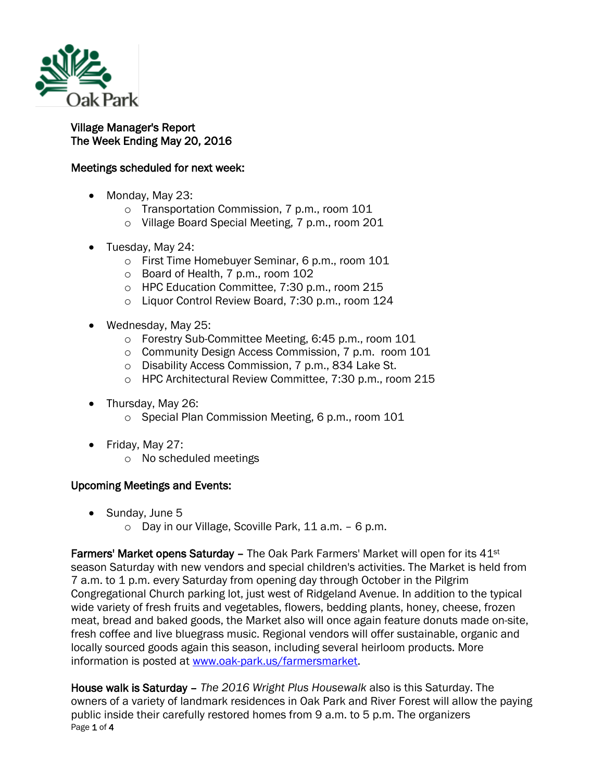

## Village Manager's Report The Week Ending May 20, 2016

## Meetings scheduled for next week:

- Monday, May 23:
	- o Transportation Commission, 7 p.m., room 101
	- o Village Board Special Meeting, 7 p.m., room 201
- Tuesday, May 24:
	- o First Time Homebuyer Seminar, 6 p.m., room 101
	- o Board of Health, 7 p.m., room 102
	- o HPC Education Committee, 7:30 p.m., room 215
	- o Liquor Control Review Board, 7:30 p.m., room 124
- Wednesday, May 25:
	- o Forestry Sub-Committee Meeting, 6:45 p.m., room 101
	- o Community Design Access Commission, 7 p.m. room 101
	- o Disability Access Commission, 7 p.m., 834 Lake St.
	- o HPC Architectural Review Committee, 7:30 p.m., room 215
- Thursday, May 26:
	- o Special Plan Commission Meeting, 6 p.m., room 101
- Friday, May 27:
	- o No scheduled meetings

## Upcoming Meetings and Events:

- Sunday, June 5
	- o Day in our Village, Scoville Park, 11 a.m. 6 p.m.

**Farmers' Market opens Saturday – The Oak Park Farmers' Market will open for its 41** $st$ season Saturday with new vendors and special children's activities. The Market is held from 7 a.m. to 1 p.m. every Saturday from opening day through October in the Pilgrim Congregational Church parking lot, just west of Ridgeland Avenue. In addition to the typical wide variety of fresh fruits and vegetables, flowers, bedding plants, honey, cheese, frozen meat, bread and baked goods, the Market also will once again feature donuts made on-site, fresh coffee and live bluegrass music. Regional vendors will offer sustainable, organic and locally sourced goods again this season, including several heirloom products. More information is posted at [www.oak-park.us/farmersmarket.](http://r20.rs6.net/tn.jsp?t=7odeiqxab.0.0.qdcllmmab.0&id=preview&r=3&p=http%3A%2F%2Fwww.oak-park.us%2Ffarmersmarket)

Page 1 of 4 House walk is Saturday – *The 2016 Wright Plus Housewalk* also is this Saturday. The owners of a variety of landmark residences in Oak Park and River Forest will allow the paying public inside their carefully restored homes from 9 a.m. to 5 p.m. The organizers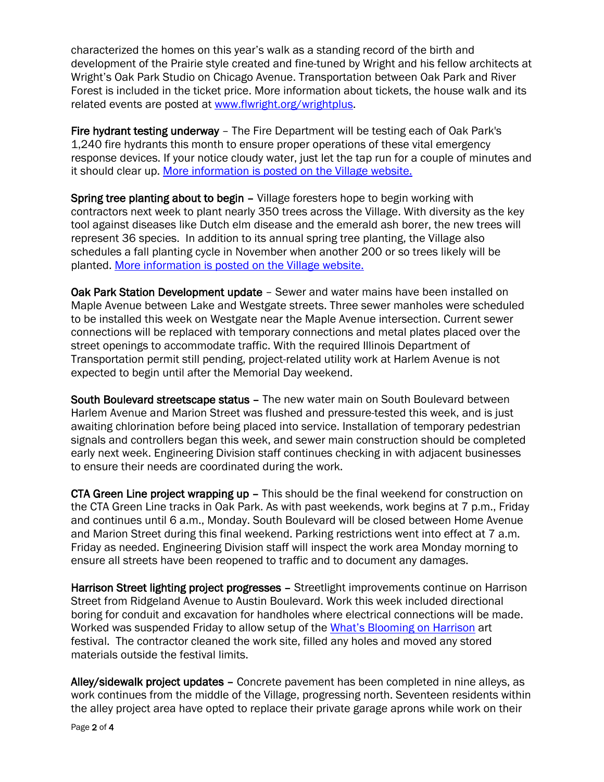characterized the homes on this year's walk as a standing record of the birth and development of the Prairie style created and fine-tuned by Wright and his fellow architects at Wright's Oak Park Studio on Chicago Avenue. Transportation between Oak Park and River Forest is included in the ticket price. More information about tickets, the house walk and its related events are posted at [www.flwright.org/wrightplus.](http://www.flwright.org/wrightplus)

Fire hydrant testing underway – The Fire Department will be testing each of Oak Park's 1,240 fire hydrants this month to ensure proper operations of these vital emergency response devices. If your notice cloudy water, just let the tap run for a couple of minutes and it should clear up. More [information is posted on the Village website.](http://r20.rs6.net/tn.jsp?t=7odeiqxab.0.0.qdcllmmab.0&id=preview&r=3&p=http%3A%2F%2Fwww.oak-park.us%2Fnews%2Ffire-department-testing-hydrants-may)

Spring tree planting about to begin – Village foresters hope to begin working with contractors next week to plant nearly 350 trees across the Village. With diversity as the key tool against diseases like Dutch elm disease and the emerald ash borer, the new trees will represent 36 species. In addition to its annual spring tree planting, the Village also schedules a fall planting cycle in November when another 200 or so trees likely will be planted. More [information is posted on the Village website.](http://r20.rs6.net/tn.jsp?t=7odeiqxab.0.0.qdcllmmab.0&id=preview&r=3&p=http%3A%2F%2Fwww.oak-park.us%2Fnews%2Fnew-trees-spring-rite-passage-oak-park)

Oak Park Station Development update – Sewer and water mains have been installed on Maple Avenue between Lake and Westgate streets. Three sewer manholes were scheduled to be installed this week on Westgate near the Maple Avenue intersection. Current sewer connections will be replaced with temporary connections and metal plates placed over the street openings to accommodate traffic. With the required Illinois Department of Transportation permit still pending, project-related utility work at Harlem Avenue is not expected to begin until after the Memorial Day weekend.

South Boulevard streetscape status – The new water main on South Boulevard between Harlem Avenue and Marion Street was flushed and pressure-tested this week, and is just awaiting chlorination before being placed into service. Installation of temporary pedestrian signals and controllers began this week, and sewer main construction should be completed early next week. Engineering Division staff continues checking in with adjacent businesses to ensure their needs are coordinated during the work.

CTA Green Line project wrapping up – This should be the final weekend for construction on the CTA Green Line tracks in Oak Park. As with past weekends, work begins at 7 p.m., Friday and continues until 6 a.m., Monday. South Boulevard will be closed between Home Avenue and Marion Street during this final weekend. Parking restrictions went into effect at 7 a.m. Friday as needed. Engineering Division staff will inspect the work area Monday morning to ensure all streets have been reopened to traffic and to document any damages.

Harrison Street lighting project progresses – Streetlight improvements continue on Harrison Street from Ridgeland Avenue to Austin Boulevard. Work this week included directional boring for conduit and excavation for handholes where electrical connections will be made. Worked was suspended Friday to allow setup of the [What's Blooming on Harrison](http://oakparkartsdistrict.com/street-events/whats-blooming-on-harrison/) art festival. The contractor cleaned the work site, filled any holes and moved any stored materials outside the festival limits.

Alley/sidewalk project updates – Concrete pavement has been completed in nine alleys, as work continues from the middle of the Village, progressing north. Seventeen residents within the alley project area have opted to replace their private garage aprons while work on their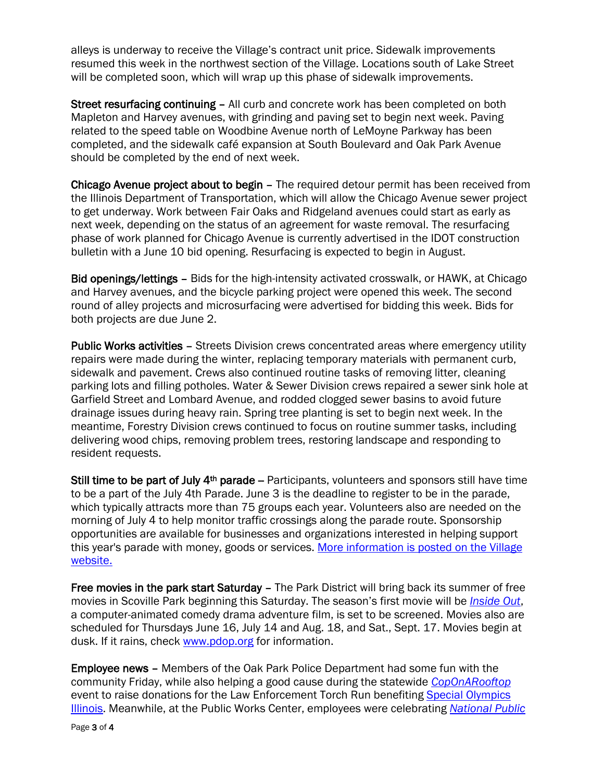alleys is underway to receive the Village's contract unit price. Sidewalk improvements resumed this week in the northwest section of the Village. Locations south of Lake Street will be completed soon, which will wrap up this phase of sidewalk improvements.

Street resurfacing continuing – All curb and concrete work has been completed on both Mapleton and Harvey avenues, with grinding and paving set to begin next week. Paving related to the speed table on Woodbine Avenue north of LeMoyne Parkway has been completed, and the sidewalk café expansion at South Boulevard and Oak Park Avenue should be completed by the end of next week.

Chicago Avenue project about to begin – The required detour permit has been received from the Illinois Department of Transportation, which will allow the Chicago Avenue sewer project to get underway. Work between Fair Oaks and Ridgeland avenues could start as early as next week, depending on the status of an agreement for waste removal. The resurfacing phase of work planned for Chicago Avenue is currently advertised in the IDOT construction bulletin with a June 10 bid opening. Resurfacing is expected to begin in August.

Bid openings/lettings – Bids for the high-intensity activated crosswalk, or HAWK, at Chicago and Harvey avenues, and the bicycle parking project were opened this week. The second round of alley projects and microsurfacing were advertised for bidding this week. Bids for both projects are due June 2.

Public Works activities – Streets Division crews concentrated areas where emergency utility repairs were made during the winter, replacing temporary materials with permanent curb, sidewalk and pavement. Crews also continued routine tasks of removing litter, cleaning parking lots and filling potholes. Water & Sewer Division crews repaired a sewer sink hole at Garfield Street and Lombard Avenue, and rodded clogged sewer basins to avoid future drainage issues during heavy rain. Spring tree planting is set to begin next week. In the meantime, Forestry Division crews continued to focus on routine summer tasks, including delivering wood chips, removing problem trees, restoring landscape and responding to resident requests.

Still time to be part of July  $4<sup>th</sup>$  parade – Participants, volunteers and sponsors still have time to be a part of the July 4th Parade. June 3 is the deadline to register to be in the parade, which typically attracts more than 75 groups each year. Volunteers also are needed on the morning of July 4 to help monitor traffic crossings along the parade route. Sponsorship opportunities are available for businesses and organizations interested in helping support this year's parade with money, goods or services. More information [is posted on the Village](http://r20.rs6.net/tn.jsp?t=7odeiqxab.0.0.qdcllmmab.0&id=preview&r=3&p=http%3A%2F%2Fwww.oak-park.us%2Fnewsletters%2Fmay-2016%2Fparticipants-volunteers-sponsors-sought-july-4th-parade)  [website.](http://r20.rs6.net/tn.jsp?t=7odeiqxab.0.0.qdcllmmab.0&id=preview&r=3&p=http%3A%2F%2Fwww.oak-park.us%2Fnewsletters%2Fmay-2016%2Fparticipants-volunteers-sponsors-sought-july-4th-parade)

Free movies in the park start Saturday – The Park District will bring back its summer of free movies in Scoville Park beginning this Saturday. The season's first movie will be *[Inside Out](http://www.imdb.com/title/tt2096673/)*, a computer-animated comedy drama adventure film, is set to be screened. Movies also are scheduled for Thursdays June 16, July 14 and Aug. 18, and Sat., Sept. 17. Movies begin at dusk. If it rains, check [www.pdop.org](http://www.pdop.org/) for information.

Employee news – Members of the Oak Park Police Department had some fun with the community Friday, while also helping a good cause during the statewide *[CopOnARooftop](https://www.soill.org/event/dunkin-donuts-cop-on-rooftop/)* event to raise donations for the Law Enforcement Torch Run benefiting [Special Olympics](https://www.facebook.com/SpecialOlympicsIllinois/) [Illinois.](https://www.facebook.com/SpecialOlympicsIllinois/) Meanwhile, at the Public Works Center, employees were celebrating *[National Public](http://www.apwa.net/discover/national-public-works-week)*